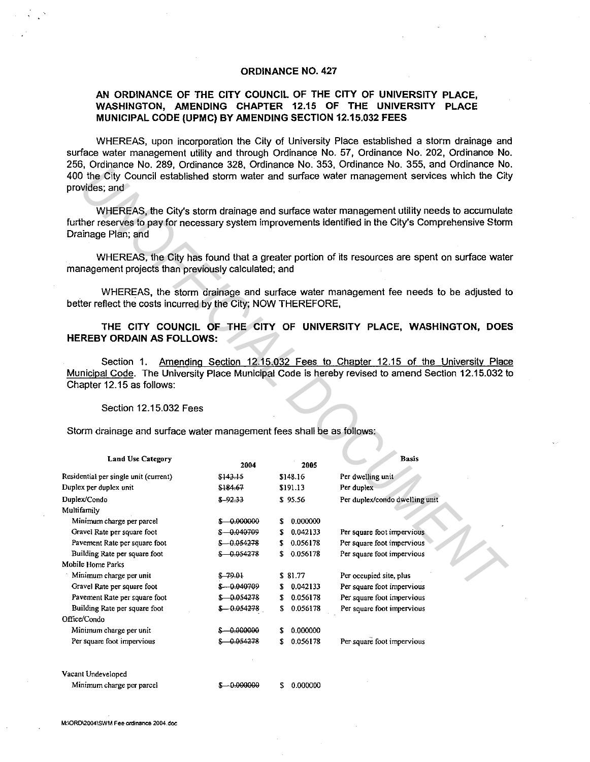## ORDINANCE NO. 427

## AN ORDINANCE OF THE CITY COUNCIL OF THE CITY OF UNIVERSITY PLACE, WASHINGTON, AMENDING CHAPTER 12.15 OF THE UNIVERSITY PLACE MUNICIPAL CODE (UPMC) BY AMENDING SECTION 12.15.032 FEES

WHEREAS, upon incorporation the City of University Place established a storm drainage and surface water management utility and through Ordinance No. 57, Ordinance No. 202, Ordinance No. 256, Ordinance No. 289, Ordinance 328, Ordinance No. 353, Ordinance No. 355, and Ordinance No. 400 the City Council established storm water and surface water management services which the City provides; and

## Section 12.15.032 Fees

| provides; and                                                                                                                                                                                                                                      |                              |                          | 200, Ordinance No. 209, Ordinance 320, Ordinance No. 000, Ordinance No. 000, and Ordinance No<br>400 the City Council established storm water and surface water management services which the Cit     |  |  |  |
|----------------------------------------------------------------------------------------------------------------------------------------------------------------------------------------------------------------------------------------------------|------------------------------|--------------------------|-------------------------------------------------------------------------------------------------------------------------------------------------------------------------------------------------------|--|--|--|
| Drainage Plan; and                                                                                                                                                                                                                                 |                              |                          | WHEREAS, the City's storm drainage and surface water management utility needs to accumulate<br>further reserves to pay for necessary system improvements identified in the City's Comprehensive Storn |  |  |  |
| WHEREAS, the City has found that a greater portion of its resources are spent on surface wate<br>management projects than previously calculated; and                                                                                               |                              |                          |                                                                                                                                                                                                       |  |  |  |
| WHEREAS, the storm drainage and surface water management fee needs to be adjusted to<br>better reflect the costs incurred by the City; NOW THEREFORE,                                                                                              |                              |                          |                                                                                                                                                                                                       |  |  |  |
| THE CITY COUNCIL OF THE CITY OF UNIVERSITY PLACE, WASHINGTON, DOE<br><b>HEREBY ORDAIN AS FOLLOWS:</b>                                                                                                                                              |                              |                          |                                                                                                                                                                                                       |  |  |  |
| Amending Section 12.15.032 Fees to Chapter 12.15 of the University Plac<br>Section 1.<br>Municipal Code. The University Place Municipal Code is hereby revised to amend Section 12.15.032 t<br>Chapter 12.15 as follows:<br>Section 12.15.032 Fees |                              |                          |                                                                                                                                                                                                       |  |  |  |
|                                                                                                                                                                                                                                                    |                              |                          |                                                                                                                                                                                                       |  |  |  |
|                                                                                                                                                                                                                                                    |                              |                          |                                                                                                                                                                                                       |  |  |  |
| <b>Land Use Category</b>                                                                                                                                                                                                                           | 2004                         | 2005                     | <b>Basis</b>                                                                                                                                                                                          |  |  |  |
| Residential per single unit (current)                                                                                                                                                                                                              | \$143.15                     | \$148.16                 | Per dwelling unit                                                                                                                                                                                     |  |  |  |
| Duplex per duplex unit                                                                                                                                                                                                                             | <del>\$184.67</del>          | \$191.13                 | Per duplex                                                                                                                                                                                            |  |  |  |
| Duplex/Condo                                                                                                                                                                                                                                       | $$-92.33$                    | \$95.56                  | Per duplex/condo dwelling unit                                                                                                                                                                        |  |  |  |
| Multifamily                                                                                                                                                                                                                                        |                              |                          |                                                                                                                                                                                                       |  |  |  |
| Minimum charge per parcel                                                                                                                                                                                                                          | $$ -0.000000$<br>\$-0.040709 | \$0.000000<br>\$0.042133 | Per square foot impervious                                                                                                                                                                            |  |  |  |
| Gravel Rate per square foot<br>Pavement Rate per square foot                                                                                                                                                                                       | $$-0.054278$                 | \$0.056178               | Per square foot impervious                                                                                                                                                                            |  |  |  |
| Building Rate per square foot                                                                                                                                                                                                                      | $$ -0.054278$                | \$0.056178               | Per square foot impervious                                                                                                                                                                            |  |  |  |
| Mobile Home Parks                                                                                                                                                                                                                                  |                              |                          |                                                                                                                                                                                                       |  |  |  |
| Minimum charge per unit                                                                                                                                                                                                                            | $$-79.01$                    | \$81.77                  | Per occupied site, plus                                                                                                                                                                               |  |  |  |
| Gravel Rate per square foot                                                                                                                                                                                                                        | $$-.0.040709$                | \$0.042133               | Per square foot impervious                                                                                                                                                                            |  |  |  |
| Pavement Rate per square foot                                                                                                                                                                                                                      | \$ 0.054278                  | \$0.056178               | Per square foot impervious                                                                                                                                                                            |  |  |  |
| Building Rate per square foot                                                                                                                                                                                                                      | $$-0.054278$                 | S.<br>0.056178           | Per square foot impervious                                                                                                                                                                            |  |  |  |
| Office/Condo                                                                                                                                                                                                                                       |                              |                          |                                                                                                                                                                                                       |  |  |  |
| Minimum charge per unit                                                                                                                                                                                                                            | $$ -0.000000$                | 0.000000<br>S.           |                                                                                                                                                                                                       |  |  |  |
| Per square foot impervious                                                                                                                                                                                                                         | $$-0.054278$                 | 0.056178<br>S.           | Per square foot impervious                                                                                                                                                                            |  |  |  |
| Vacant Undeveloped                                                                                                                                                                                                                                 |                              |                          |                                                                                                                                                                                                       |  |  |  |
| Minimum charge per parcel                                                                                                                                                                                                                          | $$-.0.00000$                 | 0.000000<br>S.           |                                                                                                                                                                                                       |  |  |  |